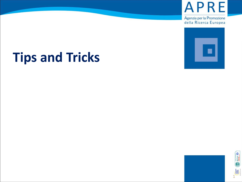

Agenzia per la Promozione della Ricerca Europea



# **Tips and Tricks**



1 onlying<br>1 supplies

Own (B)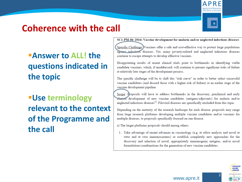

### **Coherence with the call**

#### ▪**Answer to ALL! the questions indicated in the topic**

### *<u>■Use terminology</u>* **relevant to the context of the Programme and the call**

#### SC1-PM-06-2016: Vaccine development for malaria and/or neglected infectious diseases

Specific Challenge:)Vaccines offer a safe and cost-effective way to protect large populations against infectious diseases. Yet, many poverty-related and neglected infectious diseases continue to escape attempts to develop effective vaccines.

Disappointing results of recent clinical trials point to bottlenecks in identifying viable candidate vaccines, which, if unaddressed, will continue to present significant risks of failure at relatively late stages of the development process.

The specific challenge will be to shift this "risk curve" in order to better select successful vaccine candidates (and discard those with a higher risk of failure) at an earlier stage of the vaccine development pipeline.

Scope: Proposals will have to address bottlenecks in the discovery, preclinical and early clinical development of new vaccine candidates (antigens/adjuvants) for malaria and/or neglected infectious diseases<sup>12</sup>. Filoviral diseases are specifically excluded from this topic.

Depending on the maturity of the research landscape for each disease, proposals may range from large research platforms developing multiple vaccine candidates and/or vaccines for multiple diseases, to proposals specifically focused on one disease.

a) The larger platforms proposals should among others:

1. Take advantage of recent advances in vaccinology (e.g. in silico analysis and novel in vitro and in vivo immunoscreens) or establish completely new approaches for the discovery and selection of novel, appropriately immunogenic antigens, and/or novel formulations/combinations for the generation of new vaccine candidates.

www.apre.it

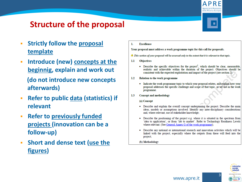

#### **Structure of the proposal**

- **Strictly follow the proposal template**
- **Introduce (new) concepts at the beginnig, explain and work out (do not introduce new concepts afterwards)**
- **Refer to public data (statistics) if relevant**
- **Refer to previously funded projects (innovation can be a follow -up)**
- **EXECUTE: Short and dense text (use the figures )**

1. **Excellence** 

Your proposal must address a work programme topic for this call for proposals.

- $\triangle$  This section of your proposal will be assessed only to the extent that it is relevant to that topic.
- $1.1$ **Objectives** 
	- Describe the specific objectives for the project<sup>1</sup>, which should be clear, measurable, realistic and achievable within the duration of the project. Objectives should be consistent with the expected exploitation and impact of the project (see section 2).

della Ricerca Euror

- **Relation to the work programme**  $1.2$ 
	- Indicate the work programme topic to which your proposal relates, and explain how your proposal addresses the specific challenge and scope of that topic, as set out in the work programme.
- $1.3$ **Concept and methodology** 
	- (a) Concept
	- Describe and explain the overall concept underpinning the project. Describe the main ideas, models or assumptions involved. Identify any inter-disciplinary considerations and, where relevant, use of stakeholder knowledge;
	- Describe the positioning of the project e.g. where it is situated in the spectrum from 'idea to application', or from 'lab to market'. Refer to Technology Readiness Levels where relevant. (See General Annex G of the work programme);
	- Describe any national or international research and innovation activities which will be linked with the project, especially where the outputs from these will feed into the project;

www.apre.it

(b) Methodology

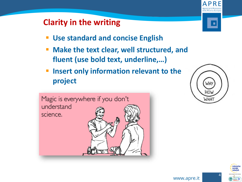#### **Clarity in the writing**

- **Use standard and concise English**
- **EXTERF 11 Make the text clear, well structured, and fluent (use bold text, underline,…)**
- **Insert only information relevant to the project**



della Ricerca Furoj

п



enterpris europe 4

4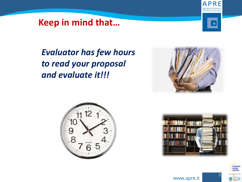#### **Keep in mind that…**



*Evaluator has few hours to read your proposal and evaluate it!!!*







5

5

enterprise europe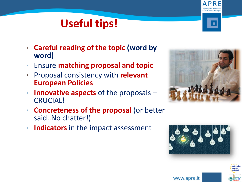### **Useful tips!**

- **Careful reading of the topic (word by word)**
- Ensure **matching proposal and topic**
- Proposal consistency with **relevant European Policies**
- **Innovative aspects** of the proposals CRUCIAL!
- **Concreteness of the proposal** (or better said..No chatter!)
- **Indicators** in the impact assessment





6



della Ricerca Euroj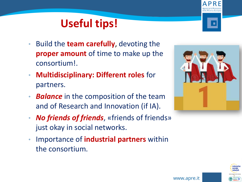### **Useful tips!**

- Build the **team carefully**, devoting the **proper amount** of time to make up the consortium!.
- **Multidisciplinary: Different roles** for partners.
- **Balance** in the composition of the team and of Research and Innovation (if IA).
- *No friends of friends*, «friends of friends» just okay in social networks.
- Importance of **industrial partners** within the consortium.





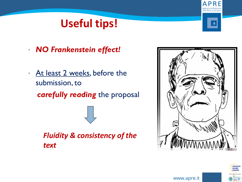### **Useful tips!**

- *NO Frankenstein effect!*
- At least 2 weeks, before the submission, to *carefully reading* the proposal

*Fluidity & consistency of the text*



8

enteroris



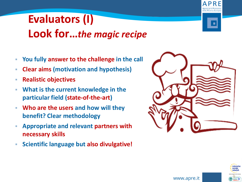## **Evaluators (I) Look for…***the magic recipe*

- **You fully answer to the challenge in the call**
- **Clear aims (motivation and hypothesis)**
- **Realistic objectives**
- **What is the current knowledge in the particular field (state-of-the-art)**
- **Who are the users and how will they benefit? Clear methodology**
- **Appropriate and relevant partners with necessary skills**
- **Scientific language but also divulgative!**





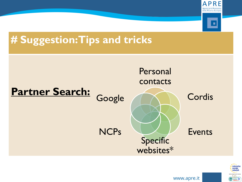

### **# Suggestion: Tips and tricks**



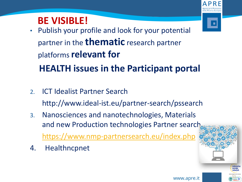### **BE VISIBLE!**

- Publish your profile and look for your potential partner in the **thematic** research partner platforms **relevant for HEALTH issues in the Participant portal**
- 2. ICT Idealist Partner Search http://www.ideal-ist.eu/partner-search/pssearch
- 3. Nanosciences and nanotechnologies, Materials and new Production technologies Partner search <https://www.nmp-partnersearch.eu/index.php>
- 4. Healthncpnet